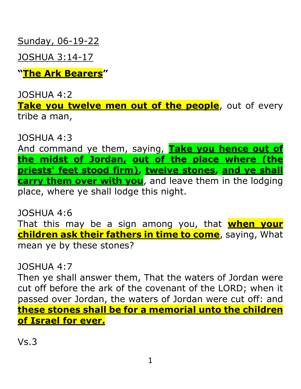Sunday, 06-19-22

JOSHUA 3:14-17

**"The Ark Bearers"**

JOSHUA 4:2

**Take you twelve men out of the people**, out of every tribe a man,

JOSHUA 4:3

And command ye them, saying, **Take you hence out of the midst of Jordan, out of the place where (the priests' feet stood firm), twelve stones, and ye shall carry them over with you**, and leave them in the lodging place, where ye shall lodge this night.

JOSHUA 4:6 That this may be a sign among you, that **when your children ask their fathers in time to come**, saying, What mean ye by these stones?

JOSHUA 4:7

Then ye shall answer them, That the waters of Jordan were cut off before the ark of the covenant of the LORD; when it passed over Jordan, the waters of Jordan were cut off: and **these stones shall be for a memorial unto the children of Israel for ever.**

Vs.3